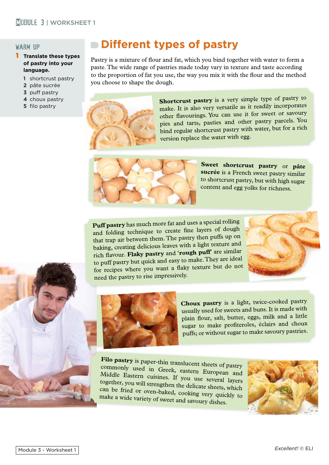## warm up

- 1 **Translate these types of pastry into your language.**
	- 1 shortcrust pastry
	- 2 pâte sucrée
	- 3 puff pastry
	- 4 choux pastry
	-

## **Different types of pastry**

Pastry is a mixture of flour and fat, which you bind together with water to form a paste. The wide range of pastries made today vary in texture and taste according to the proportion of fat you use, the way you mix it with the flour and the method you choose to shape the dough.



4 choux pastry<br>5 filo pastry **Shortcrust pastry** is a very simple type of pastry to<br>5 filo pastry to make It is also very versatile as it readily incorporates make. It is also very versatile as it readily incorporates other flavourings. You can use it for sweet or savoury pies and tarts, pasties and other pastry parcels. You bind regular shortcrust pastry with water, but for a rich version replace the water with egg.



**Sweet shortcrust pastry** or **pâte sucrée** is a French sweet pastry similar to shortcrust pastry, but with high sugar content and egg yolks for richness.

**Puff pastry** has much more fat and uses a special rolling and folding technique to create fine layers of dough that trap air between them. The pastry then puffs up on baking, creating delicious leaves with a light texture an<sup>d</sup> rich flavour. **Flaky pastry** and '**rough puff**' are similar to puff pastry but quick and easy to make. They are ideal for recipes where you want a flaky texture but do not need the pastry to rise impressively.







**Choux pastry** is a light, twice-cooked pastry usually used for sweets and buns. It is made with <sup>p</sup>lain flour, salt, butter, eggs, milk and a little sugar to make profiteroles, éclairs and choux puffs; or without sugar to make savoury pastries.

**Filo pastry** is paper-thin translucent sheets of pastry commonly used in Greek, eastern European and Middle Eastern cuisines. If you use several layers together, you will strengthen the delicate sheets, which can be fried or oven-baked, cooking very quickly to make a wide variety of sweet and savoury dishes.